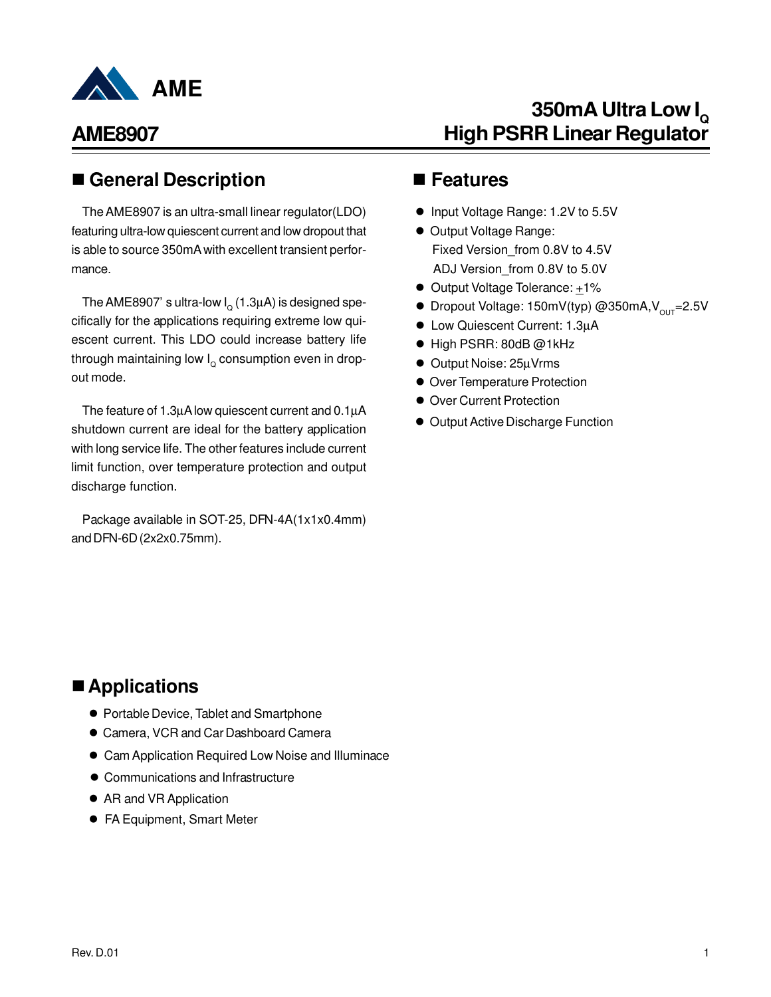

### ■ General Description ■ Features

The AME8907 is an ultra-small linear regulator(LDO) featuring ultra-low quiescent current and low dropout that is able to source 350mA with excellent transient performance.

The AME8907' s ultra-low l $_{\rm Q}$  (1.3 $\mu$ A) is designed specifically for the applications requiring extreme low quiescent current. This LDO could increase battery life through maintaining low  $\mathsf{I}_\mathsf{\scriptscriptstyle Q}$  consumption even in dropout mode.

The feature of 1.3µA low quiescent current and 0.1µA shutdown current are ideal for the battery application with long service life. The other features include current limit function, over temperature protection and output discharge function.

Package available in SOT-25, DFN-4A(1x1x0.4mm) and DFN-6D (2x2x0.75mm).

# **350mA Ultra Low I<sup>Q</sup> High PSRR Linear Regulator**

- Input Voltage Range: 1.2V to 5.5V
- **Output Voltage Range:** Fixed Version\_from 0.8V to 4.5V ADJ Version\_from 0.8V to 5.0V
- Output Voltage Tolerance: +1%
- **•** Dropout Voltage: 150mV(typ) @350mA,  $V_{\text{out}}$ =2.5V
- Low Quiescent Current: 1.3µA
- High PSRR: 80dB @1kHz
- Output Noise: 25µVrms
- **Over Temperature Protection**
- **Over Current Protection**
- **Output Active Discharge Function**

### ■ Applications

- **Portable Device, Tablet and Smartphone**
- **Camera, VCR and Car Dashboard Camera**
- **Cam Application Required Low Noise and Illuminace**
- Communications and Infrastructure
- AR and VR Application
- FA Equipment, Smart Meter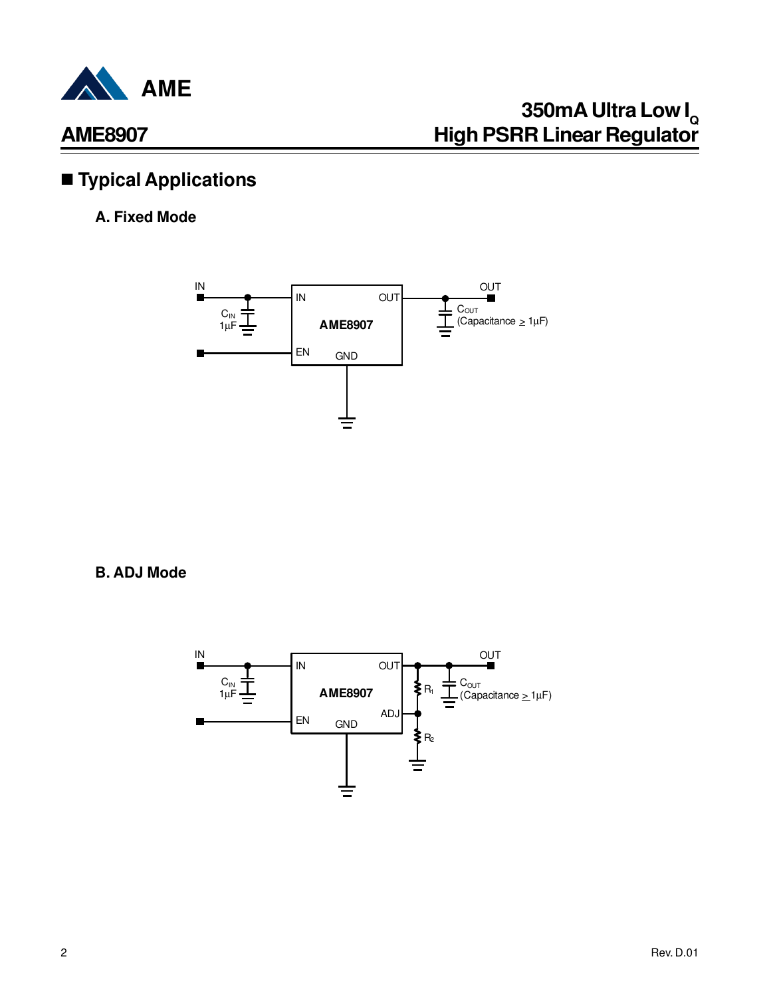

# n **Typical Applications**

### **A. Fixed Mode**



**B. ADJ Mode**

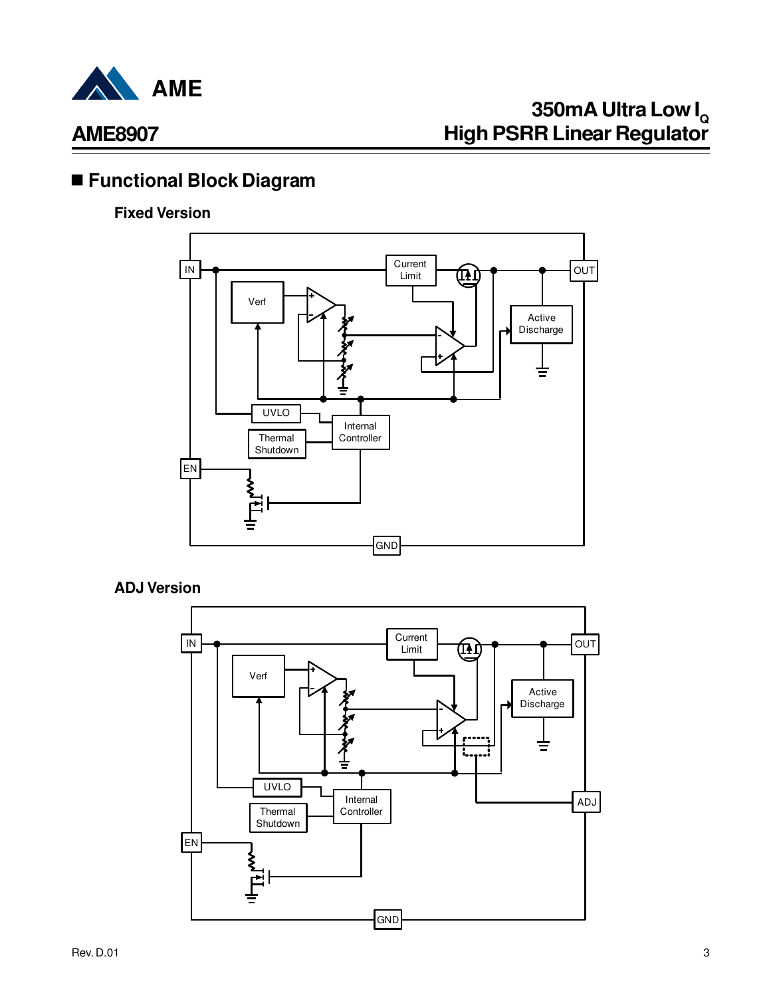

# **350mA Ultra Low I<sup>Q</sup> High PSRR Linear Regulator**

## n **Functional Block Diagram**

### **Fixed Version**



**ADJ Version**

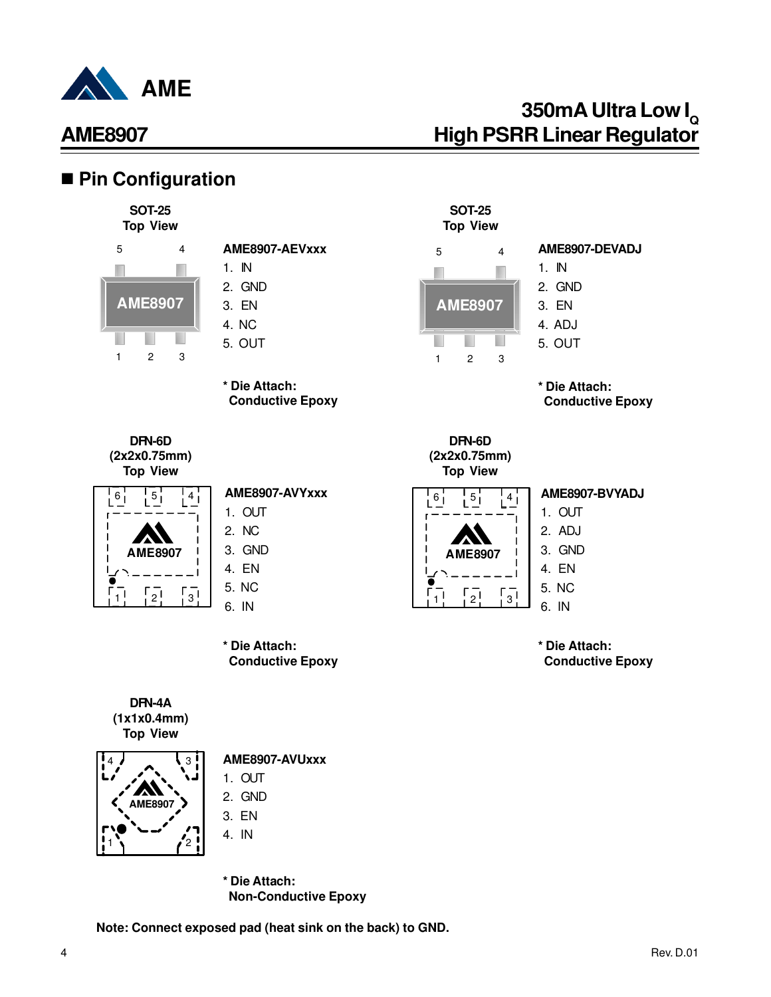

## ■ Pin Configuration

#### **SOT-25 Top View**



**AME8907**

1 2 3

ı

ш

B

## **AME8907-AEVxxx**

- 1. IN 2. GND
- 3. EN
- 4. NC 5. OUT
- 



**DFN-6D (2x2x0.75mm) Top View**



#### **AME8907-AVYxxx**

- 1. OUT
- 2. NC 3. GND
- 4. EN
- 5. NC
- 6. IN

**\* Die Attach: Conductive Epoxy**





### 3<sup>1</sup> AME8907-AVUxxx

- 1.  $Q \cup T$
- 2. GND
- 3. EN
- 4. IN
- **\* Die Attach: Non-Conductive Epoxy**

**Note: Connect exposed pad (heat sink on the back) to GND.**



**SOT-25**

### **AME8907-DEVADJ**

- 1. IN 2. GND
- 3. EN
- 4. ADJ
- 
- 5. OUT

**\* Die Attach: Conductive Epoxy** 

**DFN-6D (2x2x0.75mm) Top View**



#### **AME8907-BVYADJ**

1. OUT 2. ADJ

- 3. GND
- 4. EN

5. NC

6. IN

**\* Die Attach: Conductive Epoxy**

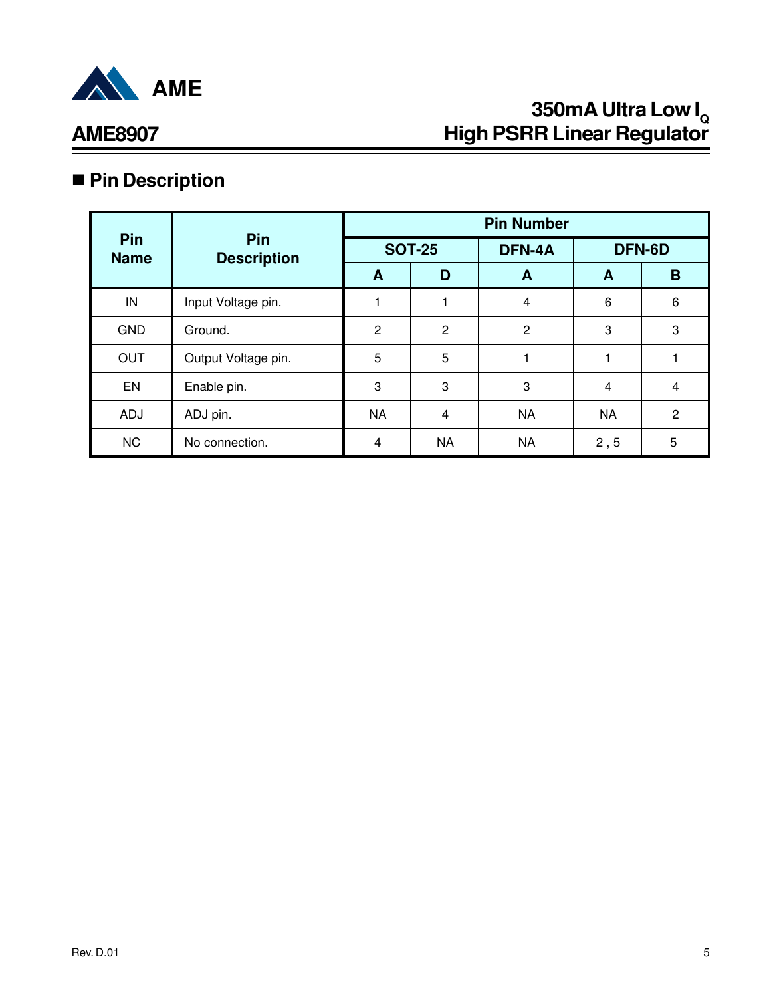

## **AME8907**

# n **Pin Description**

|                    |                           | <b>Pin Number</b> |                |                |           |                |  |
|--------------------|---------------------------|-------------------|----------------|----------------|-----------|----------------|--|
| Pin<br><b>Name</b> | Pin<br><b>Description</b> |                   | <b>SOT-25</b>  | DFN-4A         | DFN-6D    |                |  |
|                    |                           | A                 | D              | A              | A         | B              |  |
| IN                 | Input Voltage pin.        |                   |                | $\overline{4}$ | 6         | 6              |  |
| <b>GND</b>         | Ground.                   | $\overline{2}$    | 2              | $\overline{2}$ | 3         | 3              |  |
| <b>OUT</b>         | Output Voltage pin.       | 5                 | 5              |                |           |                |  |
| EN                 | Enable pin.               | 3                 | 3              | 3              | 4         | 4              |  |
| <b>ADJ</b>         | ADJ pin.                  | <b>NA</b>         | $\overline{4}$ | <b>NA</b>      | <b>NA</b> | $\overline{2}$ |  |
| <b>NC</b>          | No connection.            | $\overline{4}$    | <b>NA</b>      | <b>NA</b>      | 2, 5      | 5              |  |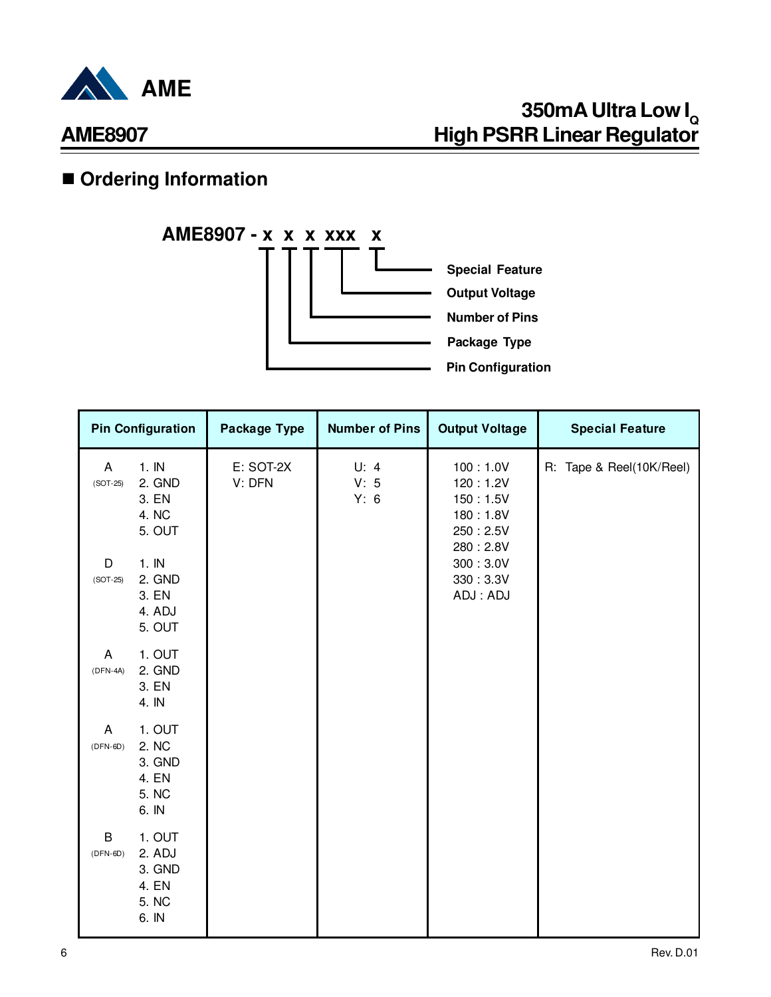

## $\blacksquare$  **Ordering Information**



| <b>Pin Configuration</b>                                                       | Package Type        | <b>Number of Pins</b> | <b>Output Voltage</b>                                                | <b>Special Feature</b>   |
|--------------------------------------------------------------------------------|---------------------|-----------------------|----------------------------------------------------------------------|--------------------------|
| 1.1N<br>A<br>2. GND<br>$(SOT-25)$<br>3. EN<br>4. NC<br>5. OUT                  | E: SOT-2X<br>V: DFN | U: 4<br>V: 5<br>Y: 6  | 100:1.0V<br>120:1.2V<br>150:1.5V<br>180:1.8V<br>250:2.5V<br>280:2.8V | R: Tape & Reel(10K/Reel) |
| 1.1N<br>D<br>2. GND<br>$(SOT-25)$<br>3. EN<br>4. ADJ<br>5. OUT                 |                     |                       | 300 : 3.0V<br>330:3.3V<br>ADJ: ADJ                                   |                          |
| 1. OUT<br>A<br>2. GND<br>$(DFN-4A)$<br>3. EN<br>4. IN                          |                     |                       |                                                                      |                          |
| 1. OUT<br>A<br>2. NC<br>$(DFN-6D)$<br>3. GND<br>4. EN<br>5. NC<br>6. IN        |                     |                       |                                                                      |                          |
| $\sf B$<br>1. OUT<br>2. ADJ<br>$(DFN-6D)$<br>3. GND<br>4. EN<br>5. NC<br>6. IN |                     |                       |                                                                      |                          |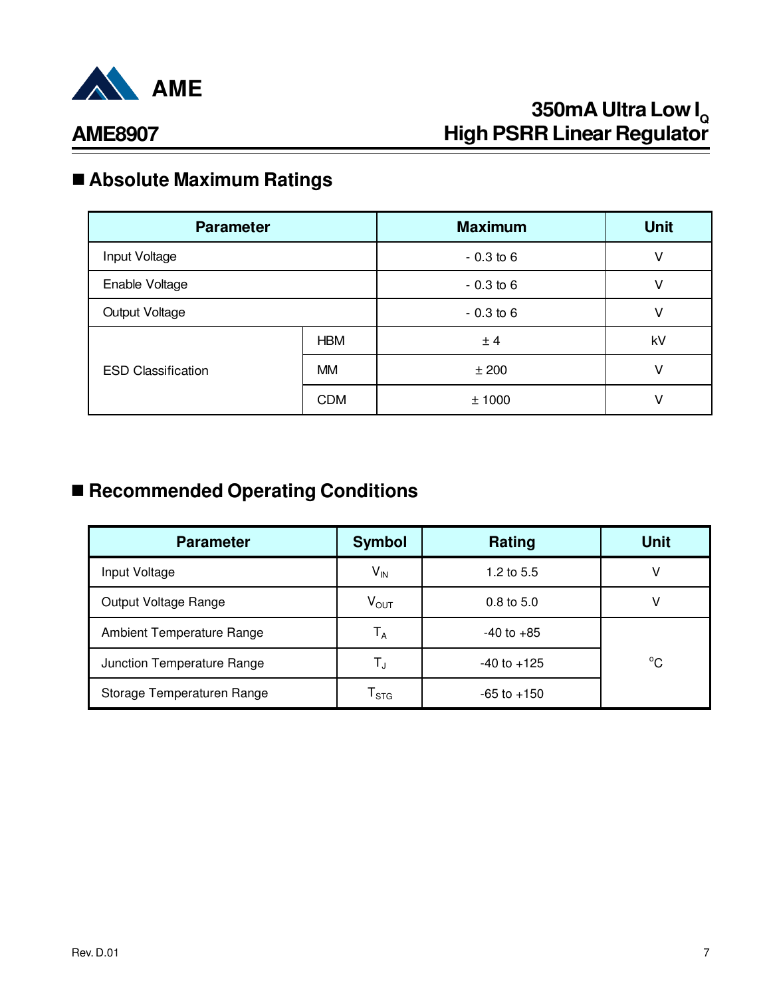

## n **Absolute Maximum Ratings**

| <b>Parameter</b>          |            | <b>Maximum</b> | <b>Unit</b> |
|---------------------------|------------|----------------|-------------|
| Input Voltage             |            | $-0.3$ to 6    | ٧           |
| Enable Voltage            |            | $-0.3$ to 6    | v           |
| Output Voltage            |            | $-0.3$ to 6    | ٧           |
|                           | <b>HBM</b> | ± 4            | kV          |
| <b>ESD Classification</b> | <b>MM</b>  | ±200           | ٧           |
|                           | <b>CDM</b> | ±1000          | v           |

## n **Recommended Operating Conditions**

| <b>Parameter</b>           | <b>Symbol</b>               | Rating                | Unit         |
|----------------------------|-----------------------------|-----------------------|--------------|
| Input Voltage              | $V_{IN}$                    | 1.2 to $5.5$          | ν            |
| Output Voltage Range       | $V_{\text{OUT}}$            | $0.8 \text{ to } 5.0$ |              |
| Ambient Temperature Range  | $T_A$                       | $-40$ to $+85$        |              |
| Junction Temperature Range | $\mathsf{T}_{\mathrm{J}}$   | $-40$ to $+125$       | $^{\circ}$ C |
| Storage Temperaturen Range | $\mathsf{T}_{\texttt{STG}}$ | $-65$ to $+150$       |              |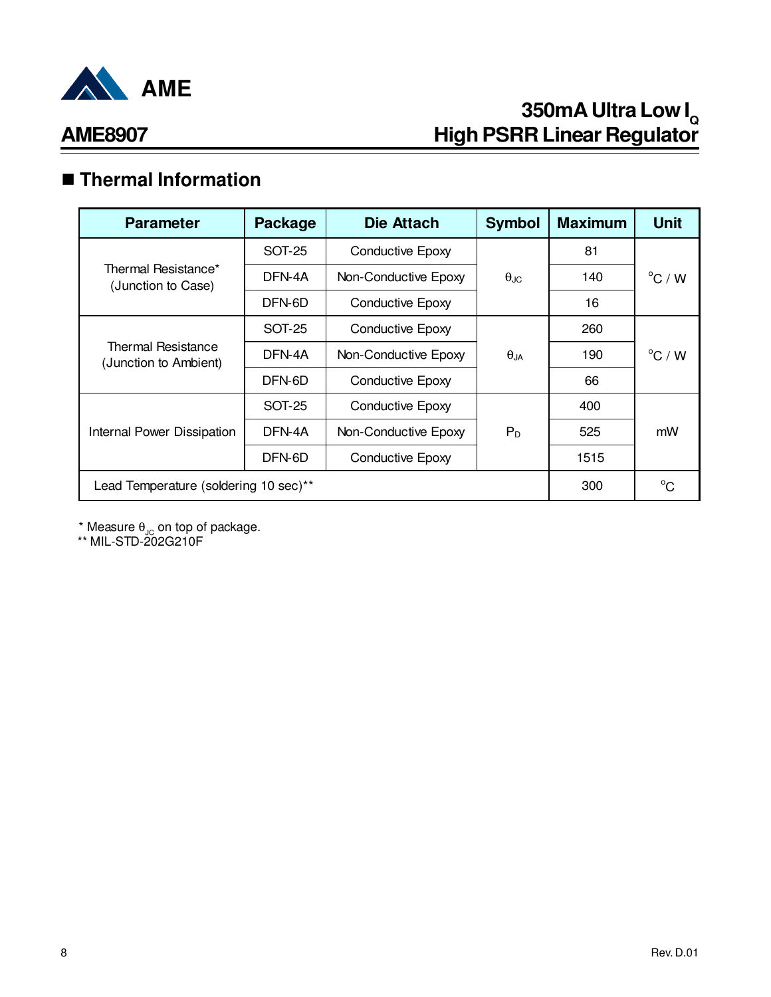

# n **Thermal Information**

| <b>Parameter</b>                            | <b>Package</b>                    | <b>Die Attach</b>       | <b>Symbol</b>        | <b>Maximum</b> | <b>Unit</b>      |  |
|---------------------------------------------|-----------------------------------|-------------------------|----------------------|----------------|------------------|--|
|                                             | SOT-25                            | <b>Conductive Epoxy</b> |                      | 81             |                  |  |
| Thermal Resistance*<br>(Junction to Case)   | DFN-4A                            | Non-Conductive Epoxy    | $\theta_{\text{JC}}$ | 140            | $^{\circ}$ C / W |  |
|                                             | DFN-6D                            | <b>Conductive Epoxy</b> |                      | 16             |                  |  |
|                                             | SOT-25                            | <b>Conductive Epoxy</b> |                      |                |                  |  |
| Thermal Resistance<br>(Junction to Ambient) | DFN-4A                            | Non-Conductive Epoxy    | $\theta_{JA}$        | 190            | $^{\circ}$ C / W |  |
|                                             | DFN-6D                            | Conductive Epoxy        |                      | 66             |                  |  |
|                                             | SOT-25                            | <b>Conductive Epoxy</b> |                      | 400            | mW               |  |
| Internal Power Dissipation                  | DFN-4A                            | Non-Conductive Epoxy    | $P_D$                | 525            |                  |  |
|                                             | DFN-6D<br><b>Conductive Epoxy</b> |                         |                      | 1515           |                  |  |
| Lead Temperature (soldering 10 sec)**       | 300                               | $^{\circ}C$             |                      |                |                  |  |

 $^*$  Measure  $\theta_{\text{JC}}$  on top of package.

\*\* MIL-STD-202G210F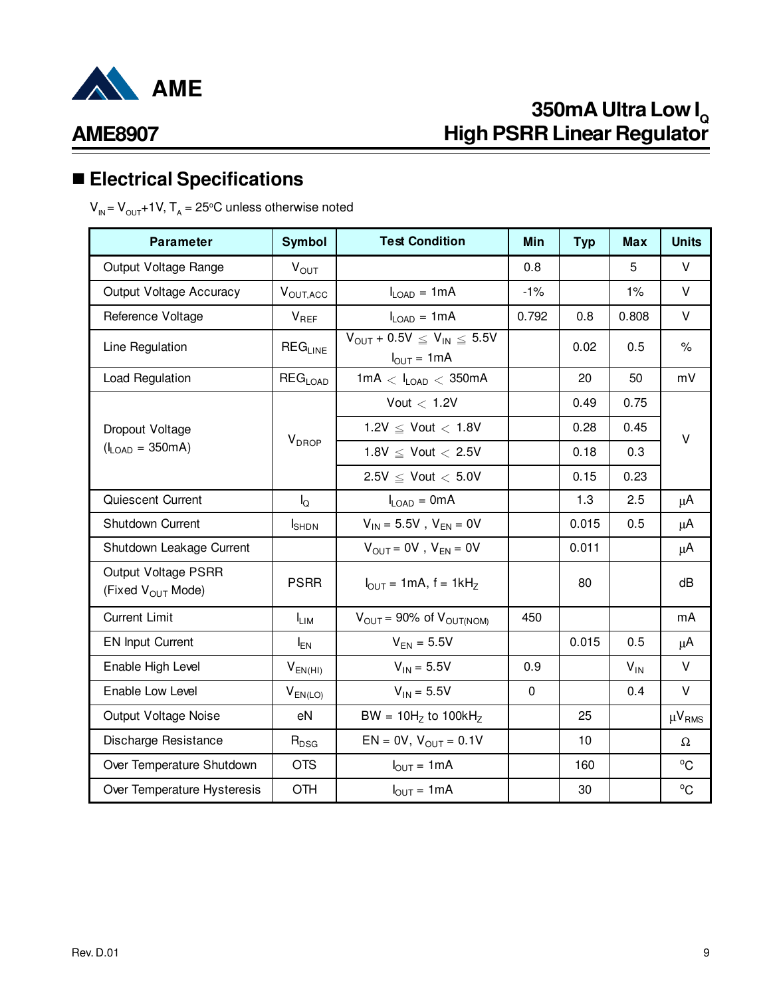

## **AME8907**

# n **Electrical Specifications**

 $\bm{\mathsf{V}}_{_{\mathsf{IN}}}\mathsf{=}\bm{\mathsf{V}}_{_{\mathsf{OUT}}}\mathsf{+1}\bm{\mathsf{V}},\bm{\mathsf{T}}_{_{\mathsf{A}}}\mathsf{=25\textdegree C}$  unless otherwise noted

| <b>Parameter</b>                                     | <b>Symbol</b>             | <b>Test Condition</b>                                       | Min         | <b>Typ</b> | <b>Max</b> | <b>Units</b>  |
|------------------------------------------------------|---------------------------|-------------------------------------------------------------|-------------|------------|------------|---------------|
| Output Voltage Range                                 | $V_{OUT}$                 |                                                             | 0.8         |            | 5          | $\vee$        |
| Output Voltage Accuracy                              | V <sub>OUT, ACC</sub>     | $I_{LOAD} = 1mA$                                            | $-1%$       |            | 1%         | V             |
| Reference Voltage                                    | $V_{REF}$                 | $I_{LOAD} = 1mA$                                            | 0.792       | 0.8        | 0.808      | $\vee$        |
| Line Regulation                                      | $REG_{LINE}$              | $V_{OUT}$ + 0.5V $\leq V_{IN} \leq$ 5.5V<br>$I_{OUT} = 1mA$ |             | 0.02       | 0.5        | $\%$          |
| Load Regulation                                      | <b>REG<sub>LOAD</sub></b> | $1mA < I_{LOAD} < 350mA$                                    |             | 20         | 50         | mV            |
|                                                      |                           | Vout $<$ 1.2V                                               |             | 0.49       | 0.75       |               |
| Dropout Voltage                                      |                           | 1.2V $\leq$ Vout $<$ 1.8V                                   |             | 0.28       | 0.45       | $\vee$        |
| $(I_{LOAD} = 350mA)$                                 | <b>V</b> <sub>DROP</sub>  | 1.8V $\leq$ Vout $<$ 2.5V                                   |             | 0.18       | 0.3        |               |
|                                                      |                           | $2.5V \le$ Vout $< 5.0V$                                    |             | 0.15       | 0.23       |               |
| Quiescent Current                                    | $I_{\rm Q}$               | $I_{LOAD} = 0mA$                                            |             | 1.3        | 2.5        | $\mu$ A       |
| Shutdown Current                                     | $I_{\text{SHDN}}$         | $V_{IN} = 5.5V$ , $V_{EN} = 0V$                             |             | 0.015      | 0.5        | $\mu$ A       |
| Shutdown Leakage Current                             |                           | $V_{\text{OUT}} = 0V$ , $V_{\text{EN}} = 0V$                |             | 0.011      |            | $\mu$ A       |
| Output Voltage PSRR<br>(Fixed V <sub>OUT</sub> Mode) | <b>PSRR</b>               | $I_{\text{OUT}} = 1 \text{mA}$ , f = 1kH <sub>z</sub>       |             | 80         |            | dB            |
| <b>Current Limit</b>                                 | $I_{LIM}$                 | $V_{\text{OUT}} = 90\%$ of $V_{\text{OUT(NOM)}}$            | 450         |            |            | mA            |
| <b>EN Input Current</b>                              | $I_{EN}$                  | $V_{EN} = 5.5V$                                             |             | 0.015      | 0.5        | $\mu$ A       |
| Enable High Level                                    | $V_{EN(HI)}$              | $V_{IN} = 5.5V$                                             | 0.9         |            | $V_{IN}$   | $\vee$        |
| Enable Low Level                                     | $V_{EN(LO)}$              | $V_{IN} = 5.5V$                                             | $\mathbf 0$ |            | 0.4        | V             |
| Output Voltage Noise                                 | eN                        | BW = $10HZ$ to $100KHZ$                                     |             | 25         |            | $\mu V_{RMS}$ |
| Discharge Resistance                                 | $R_{DSG}$                 | $EN = 0V$ , $V_{OUT} = 0.1V$                                |             | 10         |            | Ω             |
| Over Temperature Shutdown                            | <b>OTS</b>                | $I_{OUT} = 1mA$                                             |             | 160        |            | $^{\circ}$ C  |
| Over Temperature Hysteresis                          | <b>OTH</b>                | $I_{OUT} = 1mA$                                             |             | 30         |            | $^{\circ}C$   |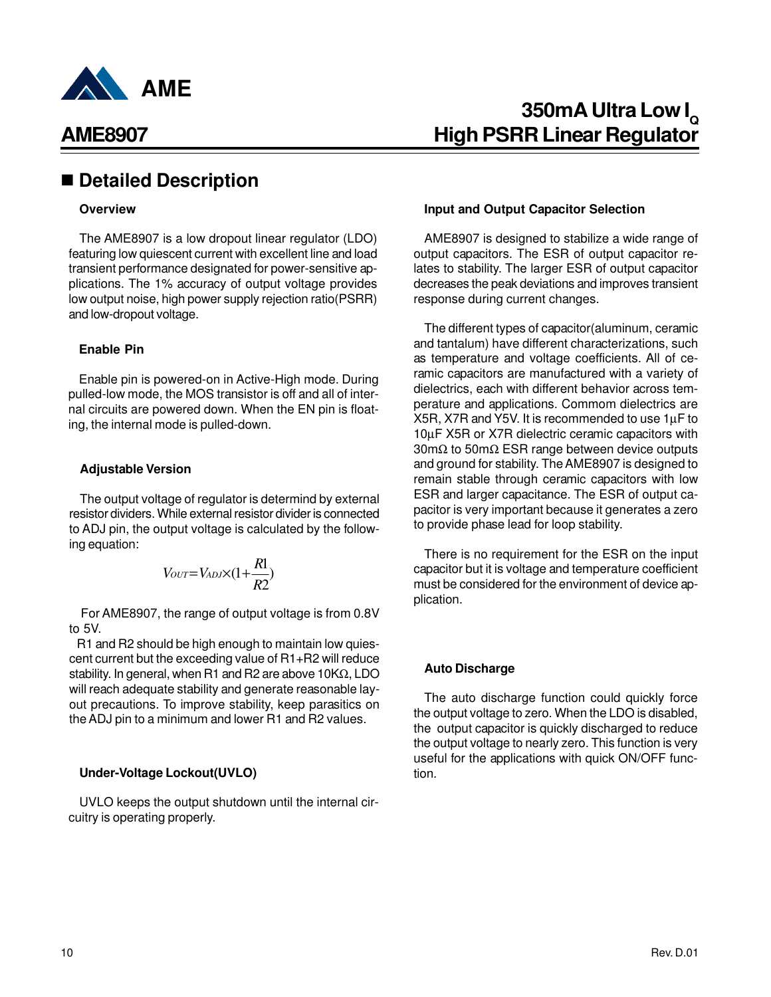

### n **Detailed Description**

#### **Overview**

The AME8907 is a low dropout linear regulator (LDO) featuring low quiescent current with excellent line and load transient performance designated for power-sensitive applications. The 1% accuracy of output voltage provides low output noise, high power supply rejection ratio(PSRR) and low-dropout voltage.

#### **Enable Pin**

Enable pin is powered-on in Active-High mode. During pulled-low mode, the MOS transistor is off and all of internal circuits are powered down. When the EN pin is floating, the internal mode is pulled-down.

#### **Adjustable Version**

The output voltage of regulator is determind by external resistor dividers. While external resistor divider is connected to ADJ pin, the output voltage is calculated by the following equation:

$$
V_{OUT}=V_{ADJ}\times(1+\frac{R1}{R2})
$$

 For AME8907, the range of output voltage is from 0.8V to 5V.

 R1 and R2 should be high enough to maintain low quiescent current but the exceeding value of R1+R2 will reduce stability. In general, when R1 and R2 are above 10KΩ, LDO will reach adequate stability and generate reasonable layout precautions. To improve stability, keep parasitics on the ADJ pin to a minimum and lower R1 and R2 values.

#### **Under-Voltage Lockout(UVLO)**

UVLO keeps the output shutdown until the internal circuitry is operating properly.

#### **Input and Output Capacitor Selection**

AME8907 is designed to stabilize a wide range of output capacitors. The ESR of output capacitor relates to stability. The larger ESR of output capacitor decreases the peak deviations and improves transient response during current changes.

The different types of capacitor(aluminum, ceramic and tantalum) have different characterizations, such as temperature and voltage coefficients. All of ceramic capacitors are manufactured with a variety of dielectrics, each with different behavior across temperature and applications. Commom dielectrics are X5R, X7R and Y5V. It is recommended to use 1µF to 10µF X5R or X7R dielectric ceramic capacitors with 30mΩ to 50mΩ ESR range between device outputs and ground for stability. The AME8907 is designed to remain stable through ceramic capacitors with low ESR and larger capacitance. The ESR of output capacitor is very important because it generates a zero to provide phase lead for loop stability.

There is no requirement for the ESR on the input capacitor but it is voltage and temperature coefficient must be considered for the environment of device application.

#### **Auto Discharge**

The auto discharge function could quickly force the output voltage to zero. When the LDO is disabled, the output capacitor is quickly discharged to reduce the output voltage to nearly zero. This function is very useful for the applications with quick ON/OFF function.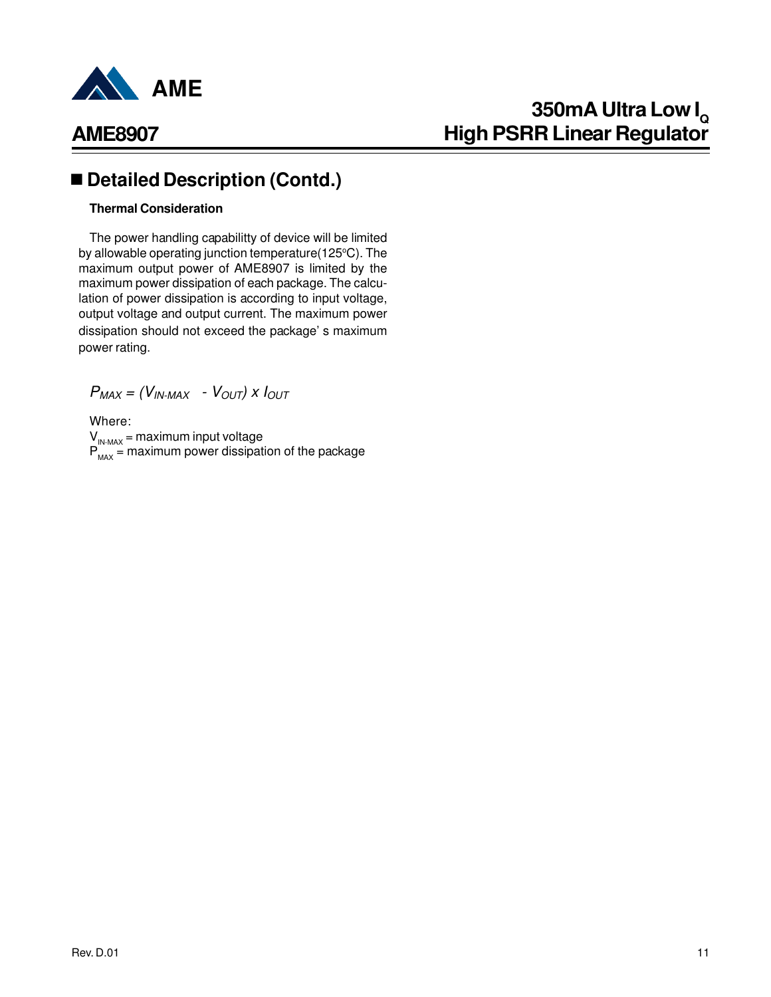

## **AME8907**

## ■ Detailed Description (Contd.)

#### **Thermal Consideration**

The power handling capabilitty of device will be limited by allowable operating junction temperature(125°C). The maximum output power of AME8907 is limited by the maximum power dissipation of each package. The calculation of power dissipation is according to input voltage, output voltage and output current. The maximum power dissipation should not exceed the package' s maximum power rating.

 $P_{MAX} = (V_{IN\text{-}MAX} - V_{OUT}) \times I_{OUT}$ 

Where:  $V_{IN-MAX}$  = maximum input voltage  $P_{MAX}$  = maximum power dissipation of the package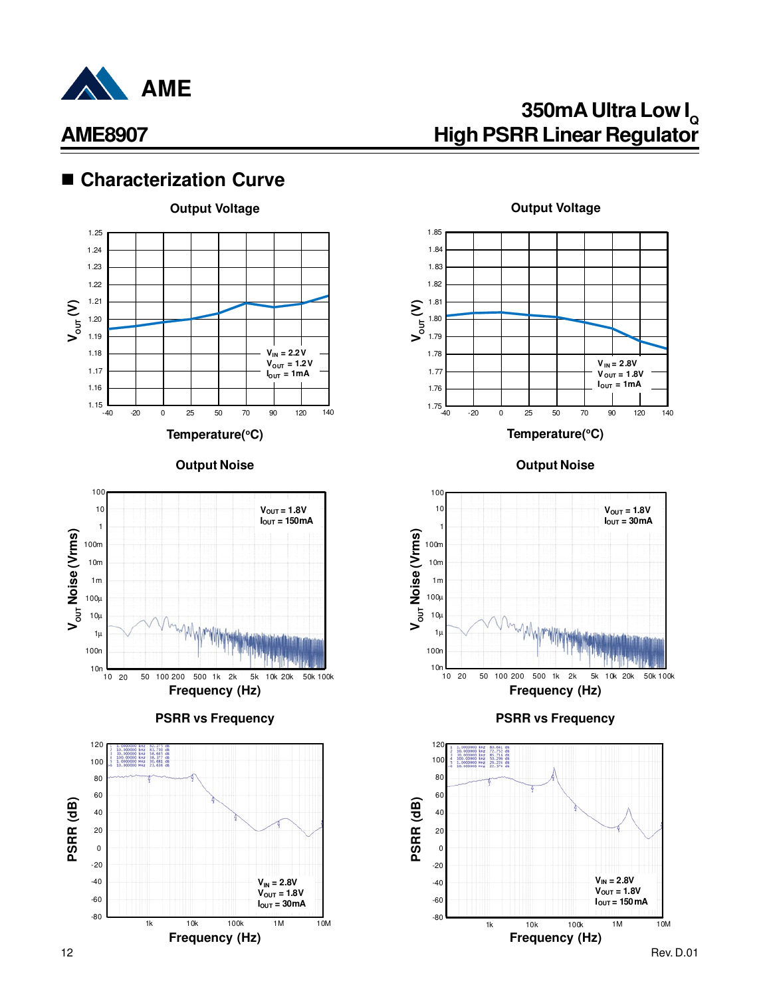

## ■ Characterization Curve





**PSRR vs Frequency**





**Temperature(<sup>o</sup>C)**

**Output Noise Output Noise**



#### **PSRR vs Frequency**

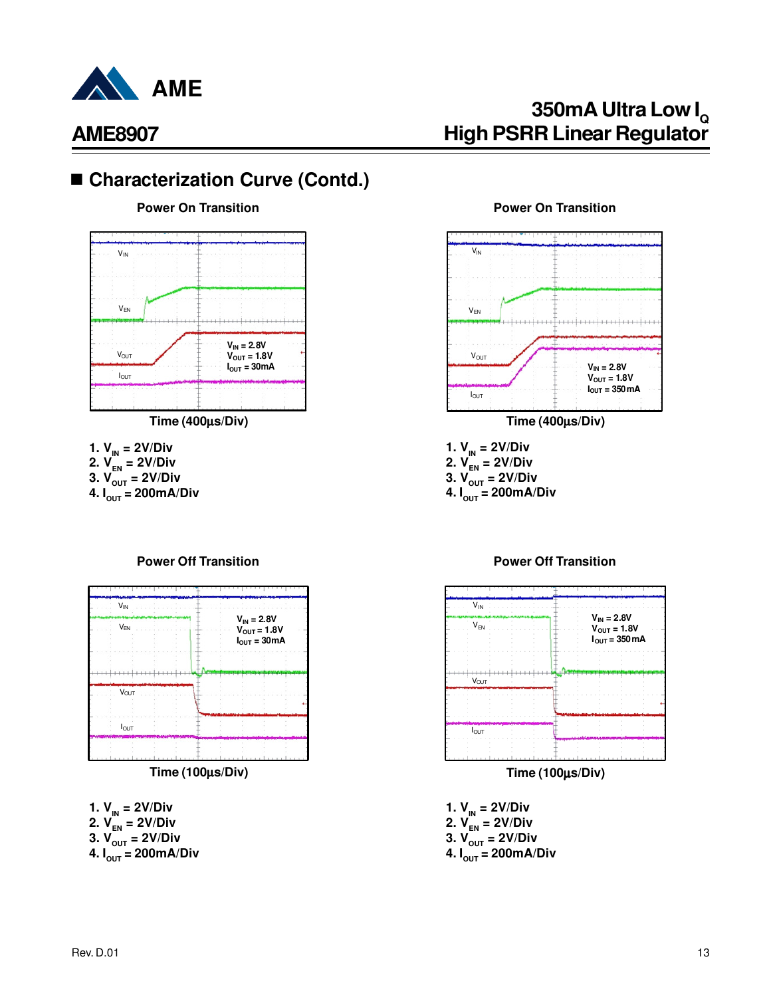

# **350mA Ultra Low I<sup>Q</sup> High PSRR Linear Regulator**

## ■ Characterization Curve (Contd.)

**Power On Transition**



**Time (400**µ**s/Div)**

**1.**  $V_{IN} = 2V/Div$ 

- **2.**  $V_{FN} = 2V/Div$
- **3.**  $V_{\text{OUT}}^{\text{}} = 2V/Div$
- **4.**  $I_{\text{OUT}} = 200 \text{mA/Div}$

#### **Power Off Transition**



**Time (100**µ**s/Div)**

**1. VIN = 2V/Div**

- **2. VEN = 2V/Div**
- **3. VOUT = 2V/Div**
- **4. IOUT = 200mA/Div**

#### **Power On Transition**



**1.**  $V_{IN} = 2V/Div$ 

- **2. VEN = 2V/Div**
- **3. VOUT = 2V/Div**
- **4.**  $I_{\text{out}} = 200 \text{mA/Div}$



**Power Off Transition**

**Time (100**µ**s/Div)**

- **1. VIN = 2V/Div 2. VEN = 2V/Div 3. VOUT = 2V/Div**
- **4. IOUT = 200mA/Div**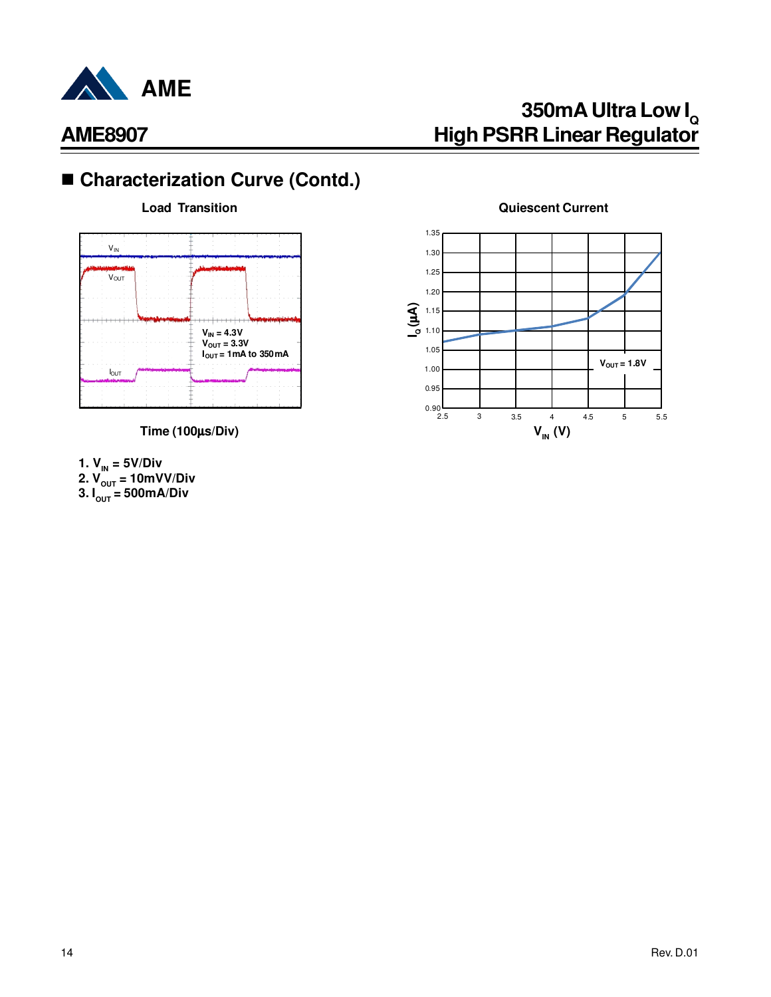

# ■ Characterization Curve (Contd.)



- **1. VIN = 5V/Div**
- **2. VOUT = 10mVV/Div**
- **3. IOUT = 500mA/Div**

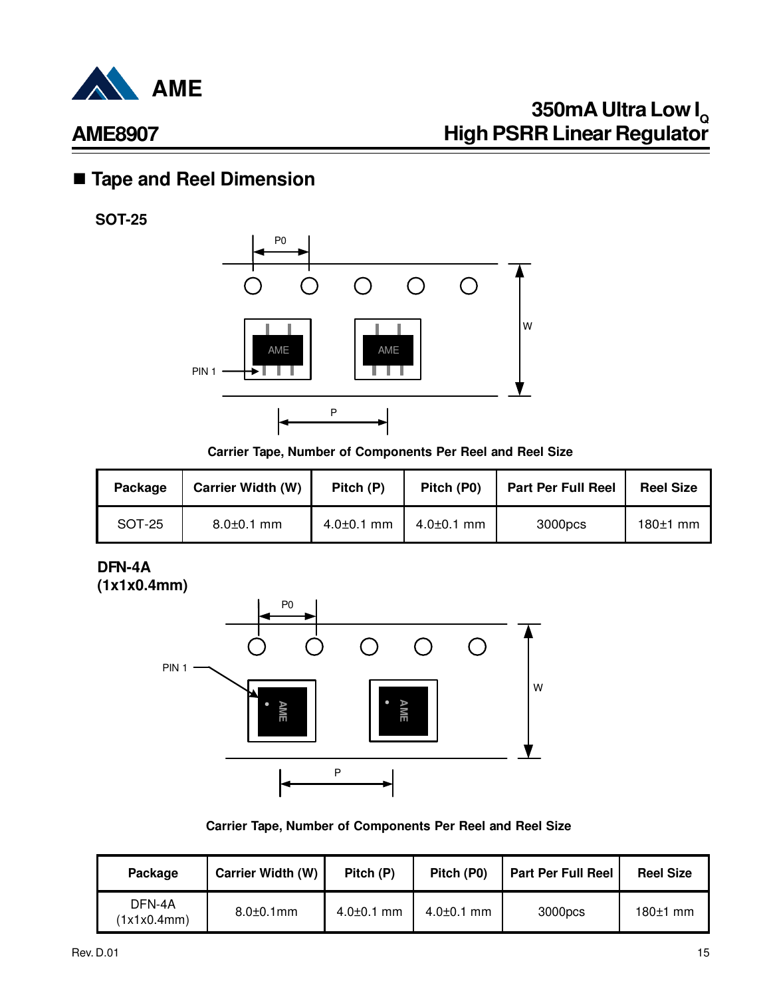

## n **Tape and Reel Dimension**

**SOT-25**



**Carrier Tape, Number of Components Per Reel and Reel Size**

| Package | <b>Carrier Width (W)</b> | Pitch (P)        | Pitch (P0)       | <b>Part Per Full Reel</b> | <b>Reel Size</b> |
|---------|--------------------------|------------------|------------------|---------------------------|------------------|
| SOT-25  | $8.0 \pm 0.1$ mm         | $4.0 \pm 0.1$ mm | $4.0{\pm}0.1$ mm | 3000pcs                   | $180±1$ mm       |

### **DFN-4A (1x1x0.4mm)**



**Carrier Tape, Number of Components Per Reel and Reel Size**

| Package               | <b>Carrier Width (W)</b> | Pitch (P)        | Pitch (P0)       | <b>Part Per Full Reel</b> | <b>Reel Size</b> |
|-----------------------|--------------------------|------------------|------------------|---------------------------|------------------|
| DFN-4A<br>(1x1x0.4mm) | $8.0 \pm 0.1$ mm         | $4.0 \pm 0.1$ mm | $4.0 \pm 0.1$ mm | 3000pcs                   | $180±1$ mm       |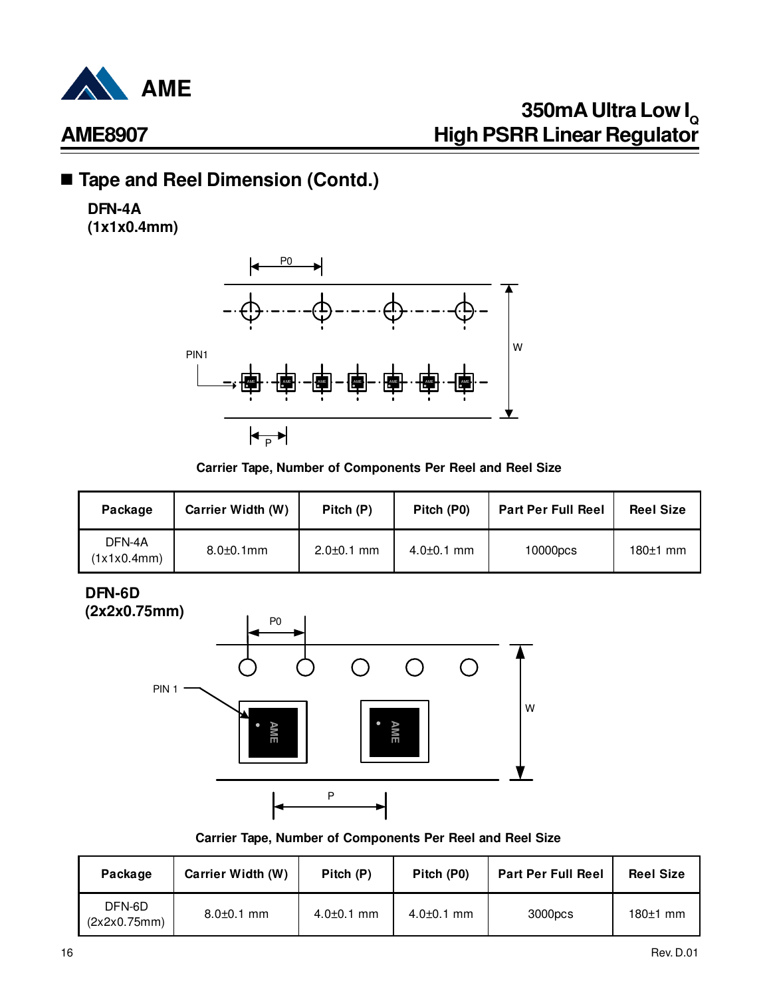

## ■ Tape and Reel Dimension (Contd.)

## **DFN-4A**

**(1x1x0.4mm)**



#### **Carrier Tape, Number of Components Per Reel and Reel Size**

| Package               | <b>Carrier Width (W)</b> | Pitch (P)        | Pitch (P0)       | <b>Part Per Full Reel</b> | <b>Reel Size</b> |
|-----------------------|--------------------------|------------------|------------------|---------------------------|------------------|
| DFN-4A<br>(1x1x0.4mm) | $8.0 \pm 0.1$ mm         | $2.0 \pm 0.1$ mm | $4.0 \pm 0.1$ mm | 10000pcs                  | $180±1$ mm       |

**DFN-6D**



#### **Carrier Tape, Number of Components Per Reel and Reel Size**

| Package                | <b>Carrier Width (W)</b> | Pitch (P)        | Pitch (P0)       | <b>Part Per Full Reel</b> | <b>Reel Size</b> |
|------------------------|--------------------------|------------------|------------------|---------------------------|------------------|
| DFN-6D<br>(2x2x0.75mm) | $8.0 \pm 0.1$ mm         | $4.0 \pm 0.1$ mm | $4.0 \pm 0.1$ mm | 3000pcs                   | $180±1$ mm       |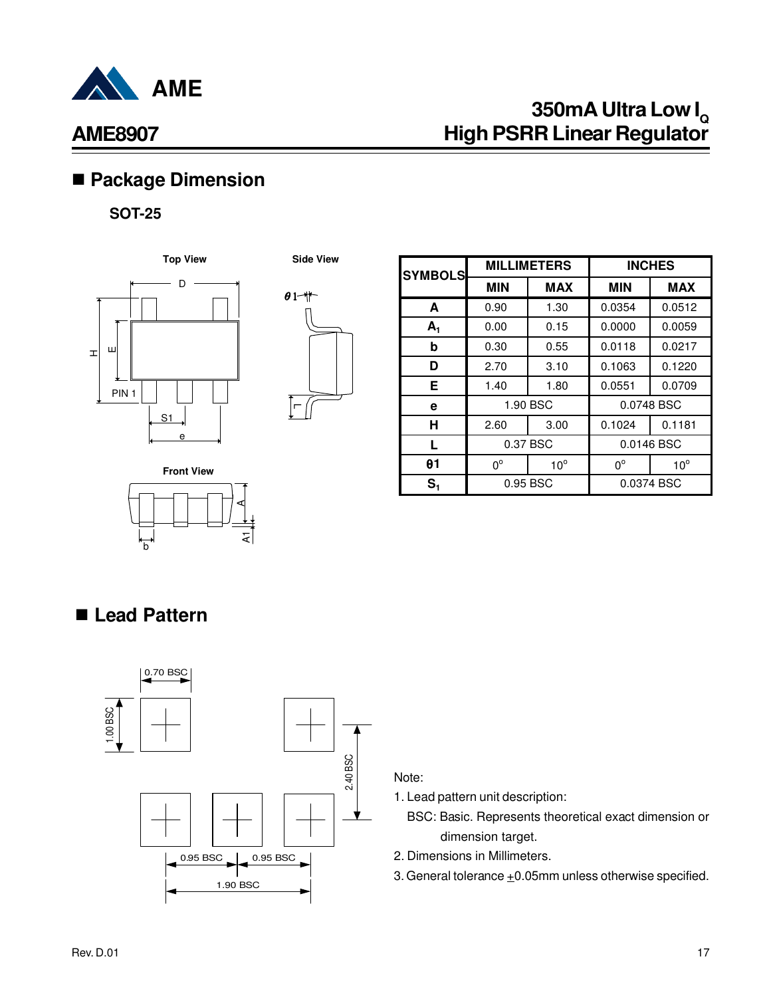

# **350mA Ultra Low I<sup>Q</sup> High PSRR Linear Regulator**

## n **Package Dimension**

### **SOT-25**





| <b>SYMBOLS</b> |             | <b>MILLIMETERS</b> |             | <b>INCHES</b> |
|----------------|-------------|--------------------|-------------|---------------|
|                | <b>MIN</b>  | <b>MAX</b>         | <b>MIN</b>  | <b>MAX</b>    |
| A              | 0.90        | 1.30               | 0.0354      | 0.0512        |
| $A_1$          | 0.00        | 0.15               | 0.0000      | 0.0059        |
| b              | 0.30        | 0.55               | 0.0118      | 0.0217        |
| D              | 2.70        | 3.10               | 0.1063      | 0.1220        |
| Е              | 1.40        | 1.80               | 0.0551      | 0.0709        |
| е              |             | 1.90 BSC           | 0.0748 BSC  |               |
| н              | 2.60        | 3.00               | 0.1024      | 0.1181        |
| L              | 0.37 BSC    |                    | 0.0146 BSC  |               |
| θ1             | $0^{\circ}$ | $10^{\circ}$       | $0^{\circ}$ | $10^{\circ}$  |
| S <sub>1</sub> | 0.95 BSC    |                    | 0.0374 BSC  |               |

**Front View**

## n **Lead Pattern**

b



হা

A

#### Note:

1. Lead pattern unit description:

- BSC: Basic. Represents theoretical exact dimension or dimension target.
- 2. Dimensions in Millimeters.
- 3. General tolerance  $\pm 0.05$ mm unless otherwise specified.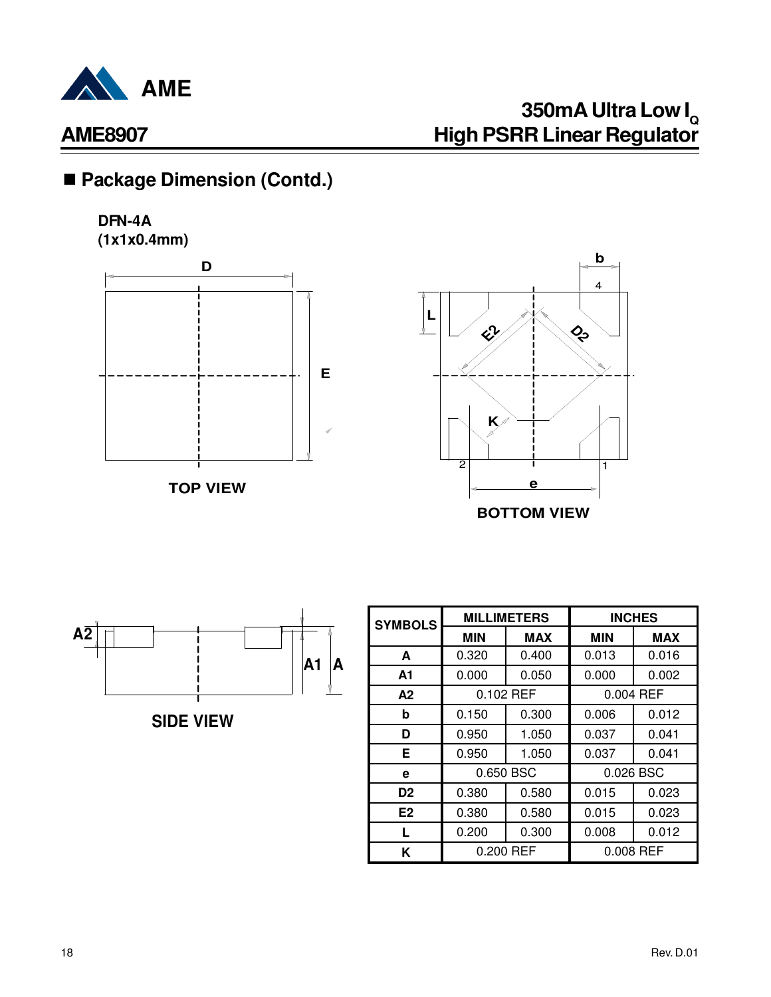

# ■ Package Dimension (Contd.)

### **DFN-4A (1x1x0.4mm)**







**SIDE VIEW**

| <b>SYMBOLS</b> |            | <b>MILLIMETERS</b> |            | <b>INCHES</b> |
|----------------|------------|--------------------|------------|---------------|
|                | <b>MIN</b> | <b>MAX</b>         | <b>MIN</b> | <b>MAX</b>    |
| A              | 0.320      | 0.400              | 0.013      | 0.016         |
| A1             | 0.000      | 0.050              | 0.000      | 0.002         |
| A2             |            | 0.102 REF          |            | 0.004 REF     |
| b              | 0.150      | 0.300              | 0.006      | 0.012         |
| D              | 0.950      | 1.050              | 0.037      | 0.041         |
| Е              | 0.950      | 1.050              | 0.037      | 0.041         |
| е              |            | 0.650 BSC          | 0.026 BSC  |               |
| D <sub>2</sub> | 0.380      | 0.580              | 0.015      | 0.023         |
| E <sub>2</sub> | 0.380      | 0.580              | 0.015      | 0.023         |
|                | 0.200      | 0.300              | 0.008      | 0.012         |
| K              |            | 0.200 REF          |            | 0.008 REF     |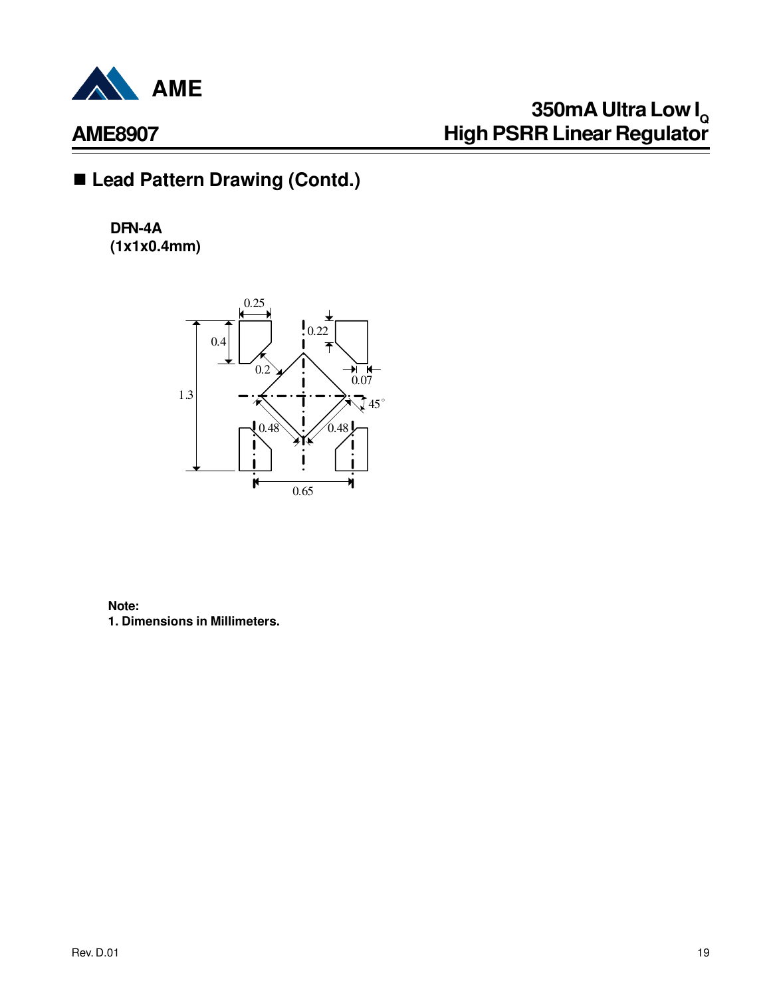

# **350mA Ultra Low I<sup>Q</sup> High PSRR Linear Regulator**

# ■ Lead Pattern Drawing (Contd.)

**DFN-4A (1x1x0.4mm)**



**Note: 1. Dimensions in Millimeters.**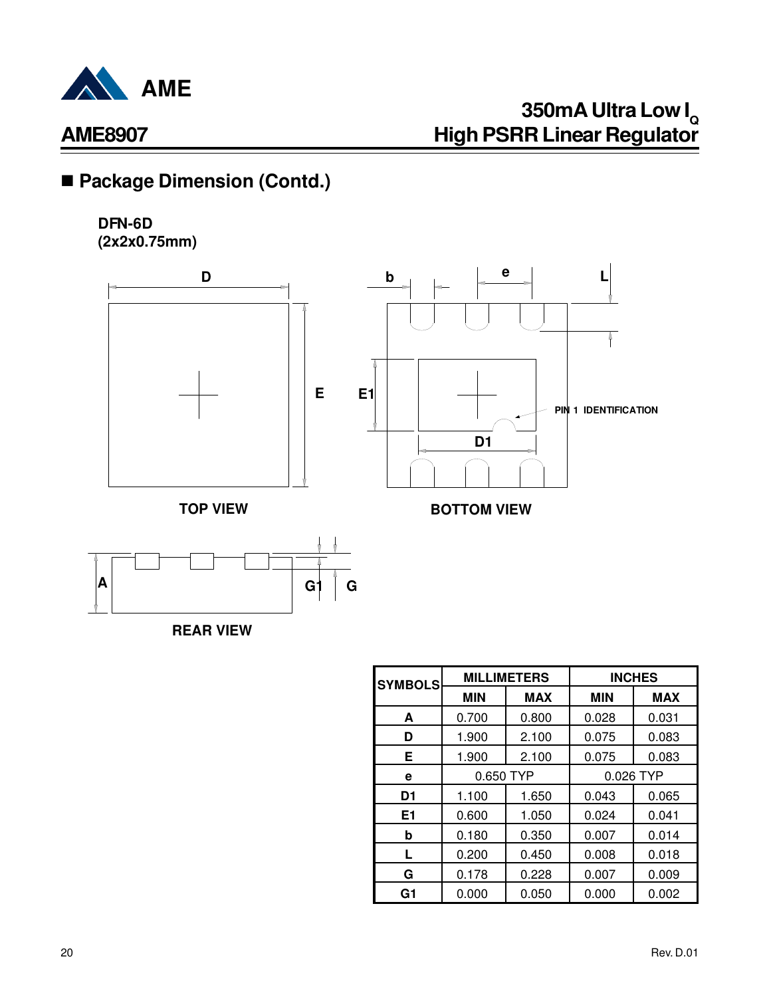

# ■ Package Dimension (Contd.)

### **DFN-6D (2x2x0.75mm)**





**REAR VIEW**

| <b>SYMBOLS</b> | <b>MILLIMETERS</b> |            | <b>INCHES</b> |            |
|----------------|--------------------|------------|---------------|------------|
|                | <b>MIN</b>         | <b>MAX</b> | <b>MIN</b>    | <b>MAX</b> |
| A              | 0.700              | 0.800      | 0.028         | 0.031      |
| D              | 1.900              | 2.100      | 0.075         | 0.083      |
| Е              | 1.900              | 2.100      | 0.075         | 0.083      |
| е              | 0.650 TYP          |            | 0.026 TYP     |            |
| D <sub>1</sub> | 1.100              | 1.650      | 0.043         | 0.065      |
| E <sub>1</sub> | 0.600              | 1.050      | 0.024         | 0.041      |
| b              | 0.180              | 0.350      | 0.007         | 0.014      |
| L.             | 0.200              | 0.450      | 0.008         | 0.018      |
| G              | 0.178              | 0.228      | 0.007         | 0.009      |
| G <sub>1</sub> | 0.000              | 0.050      | 0.000         | 0.002      |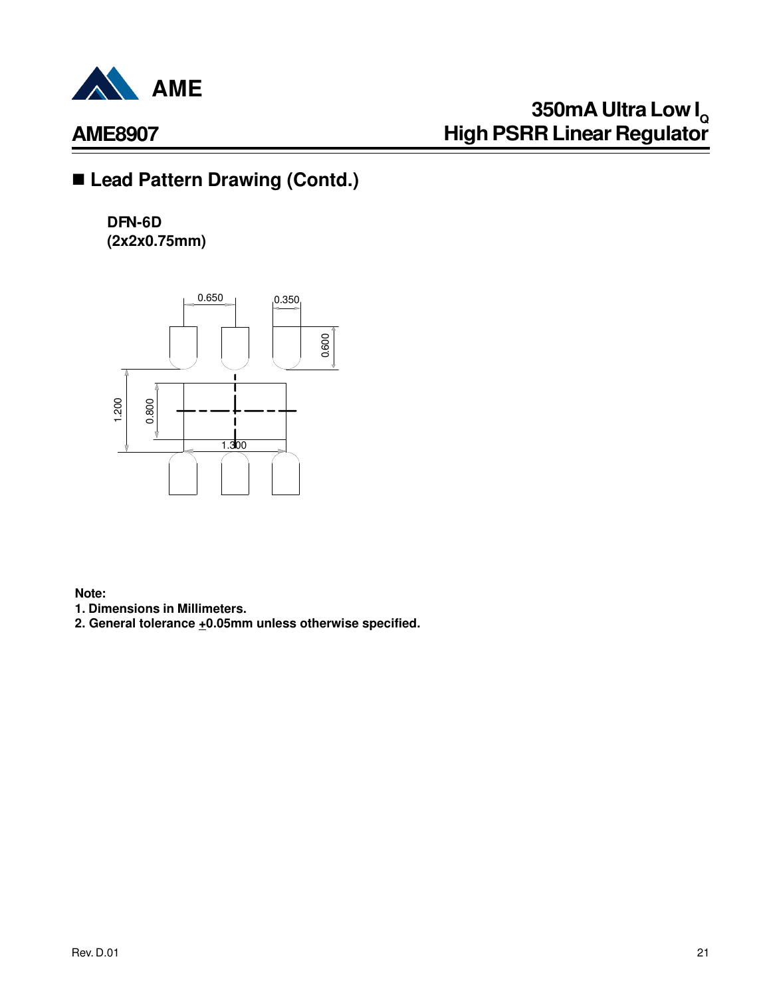

# **350mA Ultra Low I<sup>Q</sup> High PSRR Linear Regulator**

## ■ Lead Pattern Drawing (Contd.)

**DFN-6D (2x2x0.75mm)**



**Note:**

**1. Dimensions in Millimeters.**

**2. General tolerance +0.05mm unless otherwise specified.**